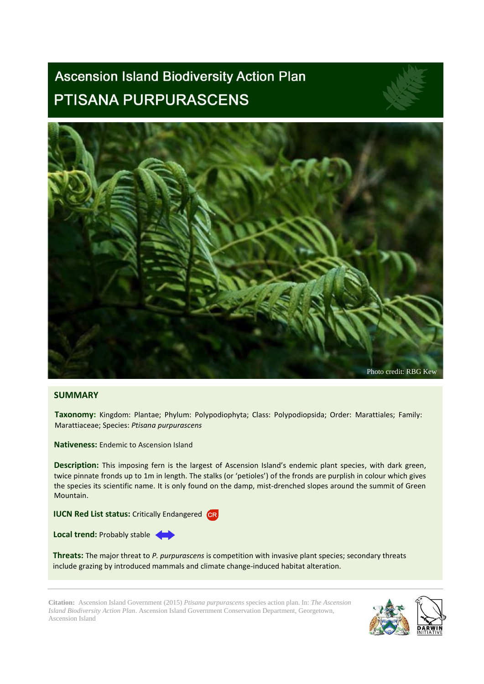# **Ascension Island Biodiversity Action Plan** PTISANA PURPURASCENS



## **SUMMARY**

**Taxonomy:** Kingdom: Plantae; Phylum: Polypodiophyta; Class: Polypodiopsida; Order: Marattiales; Family: Marattiaceae; Species: *Ptisana purpurascens*

**Nativeness:** Endemic to Ascension Island

**Description:** This imposing fern is the largest of Ascension Island's endemic plant species, with dark green, twice pinnate fronds up to 1m in length. The stalks (or 'petioles') of the fronds are purplish in colour which gives the species its scientific name. It is only found on the damp, mist-drenched slopes around the summit of Green Mountain.

**IUCN Red List status:** Critically Endangered **GR** 

**Local trend:** Probably stable

**Threats:** The major threat to *P. purpurascens* is competition with invasive plant species; secondary threats include grazing by introduced mammals and climate change-induced habitat alteration.

**Citation:** Ascension Island Government (2015) *Ptisana purpurascens* species action plan. In: *The Ascension Island Biodiversity Action Plan*. Ascension Island Government Conservation Department, Georgetown, Ascension Island

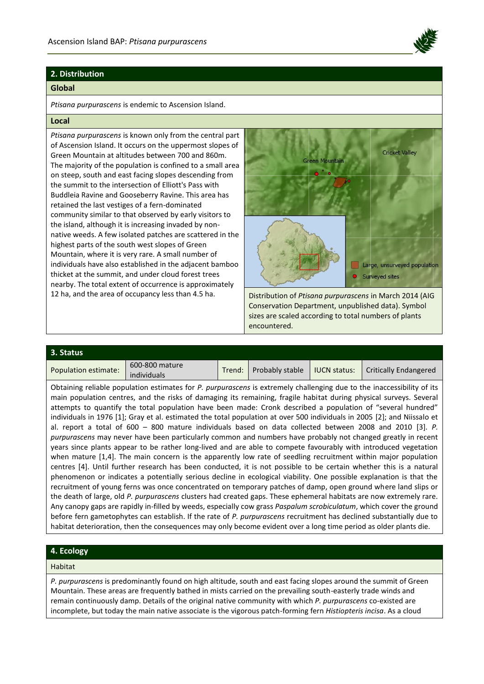

## **2. Distribution**

#### **Global**

*Ptisana purpurascens* is endemic to Ascension Island.

### **Local**

*Ptisana purpurascens* is known only from the central part of Ascension Island. It occurs on the uppermost slopes of Green Mountain at altitudes between 700 and 860m. The majority of the population is confined to a small area on steep, south and east facing slopes descending from the summit to the intersection of Elliott's Pass with Buddleia Ravine and Gooseberry Ravine. This area has retained the last vestiges of a fern-dominated community similar to that observed by early visitors to the island, although it is increasing invaded by nonnative weeds. A few isolated patches are scattered in the highest parts of the south west slopes of Green Mountain, where it is very rare. A small number of individuals have also established in the adjacent bamboo thicket at the summit, and under cloud forest trees nearby. The total extent of occurrence is approximately 12 ha, and the area of occupancy less than 4.5 ha. Distribution of *Ptisana purpurascens* in March 2014 (AIG



Conservation Department, unpublished data). Symbol sizes are scaled according to total numbers of plants encountered.

| 3. Status            |                               |        |                 |                     |                              |
|----------------------|-------------------------------|--------|-----------------|---------------------|------------------------------|
| Population estimate: | 600-800 mature<br>individuals | Trend: | Probably stable | <b>IUCN status:</b> | <b>Critically Endangered</b> |

Obtaining reliable population estimates for *P. purpurascens* is extremely challenging due to the inaccessibility of its main population centres, and the risks of damaging its remaining, fragile habitat during physical surveys. Several attempts to quantify the total population have been made: Cronk described a population of "several hundred" individuals in 1976 [1]; Gray et al. estimated the total population at over 500 individuals in 2005 [2]; and Niissalo et al. report a total of 600 – 800 mature individuals based on data collected between 2008 and 2010 [3]. *P. purpurascens* may never have been particularly common and numbers have probably not changed greatly in recent years since plants appear to be rather long-lived and are able to compete favourably with introduced vegetation when mature [1,4]. The main concern is the apparently low rate of seedling recruitment within major population centres [4]. Until further research has been conducted, it is not possible to be certain whether this is a natural phenomenon or indicates a potentially serious decline in ecological viability. One possible explanation is that the recruitment of young ferns was once concentrated on temporary patches of damp, open ground where land slips or the death of large, old *P. purpurascens* clusters had created gaps. These ephemeral habitats are now extremely rare. Any canopy gaps are rapidly in-filled by weeds, especially cow grass *Paspalum scrobiculatum*, which cover the ground before fern gametophytes can establish. If the rate of *P. purpurascens* recruitment has declined substantially due to habitat deterioration, then the consequences may only become evident over a long time period as older plants die.

# **4. Ecology**

#### Habitat

*P. purpurascens* is predominantly found on high altitude, south and east facing slopes around the summit of Green Mountain. These areas are frequently bathed in mists carried on the prevailing south-easterly trade winds and remain continuously damp. Details of the original native community with which *P. purpurascens* co-existed are incomplete, but today the main native associate is the vigorous patch-forming fern *Histiopteris incisa*. As a cloud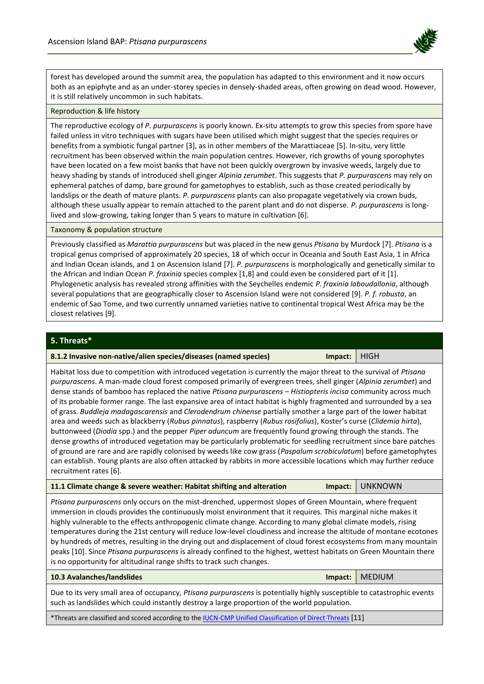

forest has developed around the summit area, the population has adapted to this environment and it now occurs both as an epiphyte and as an under-storey species in densely-shaded areas, often growing on dead wood. However, it is still relatively uncommon in such habitats.

#### Reproduction & life history

The reproductive ecology of *P. purpurascens* is poorly known. Ex-situ attempts to grow this species from spore have failed unless in vitro techniques with sugars have been utilised which might suggest that the species requires or benefits from a symbiotic fungal partner [3], as in other members of the Marattiaceae [5]. In-situ, very little recruitment has been observed within the main population centres. However, rich growths of young sporophytes have been located on a few moist banks that have not been quickly overgrown by invasive weeds, largely due to heavy shading by stands of introduced shell ginger *Alpinia zerumbet*. This suggests that *P. purpurascens* may rely on ephemeral patches of damp, bare ground for gametophyes to establish, such as those created periodically by landslips or the death of mature plants. *P. purpurascens* plants can also propagate vegetatively via crown buds, although these usually appear to remain attached to the parent plant and do not disperse. *P. purpurascens* is longlived and slow-growing, taking longer than 5 years to mature in cultivation [6].

Taxonomy & population structure

Previously classified as *Marattia purpurascens* but was placed in the new genus *Ptisana* by Murdock [7]. *Ptisana* is a tropical genus comprised of approximately 20 species, 18 of which occur in Oceania and South East Asia, 1 in Africa and Indian Ocean islands, and 1 on Ascension Island [7]. *P. purpurascens* is morphologically and genetically similar to the African and Indian Ocean *P. fraxinia* species complex [1,8] and could even be considered part of it [1]. Phylogenetic analysis has revealed strong affinities with the Seychelles endemic *P. fraxinia laboudallonia*, although several populations that are geographically closer to Ascension Island were not considered [9]. *P. f. robusta*, an endemic of Sao Tome, and two currently unnamed varieties native to continental tropical West Africa may be the closest relatives [9].

## **5. Threats\***

| Impact:   HIGH<br>8.1.2 Invasive non-native/alien species/diseases (named species) |  |
|------------------------------------------------------------------------------------|--|
|                                                                                    |  |

Habitat loss due to competition with introduced vegetation is currently the major threat to the survival of *Ptisana purpurascens*. A man-made cloud forest composed primarily of evergreen trees, shell ginger (*Alpinia zerumbet*) and dense stands of bamboo has replaced the native *Ptisana purpurascens – Histiopteris incisa* community across much of its probable former range. The last expansive area of intact habitat is highly fragmented and surrounded by a sea of grass. *Buddleja madagascarensis* and *Clerodendrum chinense* partially smother a large part of the lower habitat area and weeds such as blackberry (*Rubus pinnatus*), raspberry (*Rubus rosifolius*), Koster's curse (*Clidemia hirta*), buttonweed (*Diodia* spp.) and the pepper *Piper aduncum* are frequently found growing through the stands. The dense growths of introduced vegetation may be particularly problematic for seedling recruitment since bare patches of ground are rare and are rapidly colonised by weeds like cow grass (*Paspalum scrobiculatum*) before gametophytes can establish. Young plants are also often attacked by rabbits in more accessible locations which may further reduce recruitment rates [6].

| 11.1 Climate change & severe weather: Habitat shifting and alteration |  |  |  |  |  |  |  | Impact: UNKNOWN |  |  |
|-----------------------------------------------------------------------|--|--|--|--|--|--|--|-----------------|--|--|
|                                                                       |  |  |  |  |  |  |  |                 |  |  |

*Ptisana purpurascens* only occurs on the mist-drenched, uppermost slopes of Green Mountain, where frequent immersion in clouds provides the continuously moist environment that it requires. This marginal niche makes it highly vulnerable to the effects anthropogenic climate change. According to many global climate models, rising temperatures during the 21st century will reduce low-level cloudiness and increase the altitude of montane ecotones by hundreds of metres, resulting in the drying out and displacement of cloud forest ecosystems from many mountain peaks [10]. Since *Ptisana purpurascens* is already confined to the highest, wettest habitats on Green Mountain there is no opportunity for altitudinal range shifts to track such changes.

#### **10.3 Avalanches/landslides Impact:** MEDIUM

Due to its very small area of occupancy, *Ptisana purpurascens* is potentially highly susceptible to catastrophic events such as landslides which could instantly destroy a large proportion of the world population.

\*Threats are classified and scored according to th[e IUCN-CMP Unified Classification of Direct Threats](http://www.iucnredlist.org/technical-documents/classification-schemes/threats-classification-scheme) [11]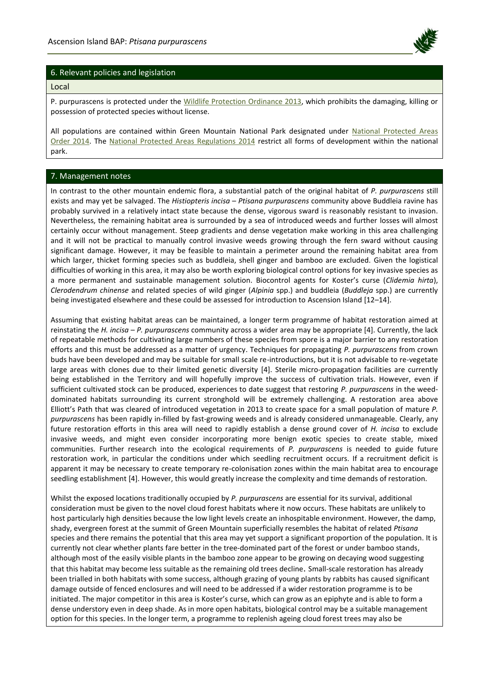

## 6. Relevant policies and legislation

#### Local

P. purpurascens is protected under the [Wildlife Protection Ordinance 2013,](http://www.ascension-island.gov.ac/wp-content/uploads/2013/04/ORD-6-2013-Wildlife-Protection-Ordinance-Asc.pdf) which prohibits the damaging, killing or possession of protected species without license.

All populations are contained within Green Mountain National Park designated under [National Protected Areas](http://www.ascension-island.gov.ac/wp-content/uploads/2013/04/LN-5-National-Protected-Areas-Order-ASC.pdf)  [Order 2014.](http://www.ascension-island.gov.ac/wp-content/uploads/2013/04/LN-5-National-Protected-Areas-Order-ASC.pdf) The [National Protected Areas Regulations 2014](http://www.ascension-island.gov.ac/wp-content/uploads/2013/04/LN-6-Regulations-for-NATION-PROTECTED-AREAS-ASC.pdf) restrict all forms of development within the national park.

## 7. Management notes

In contrast to the other mountain endemic flora, a substantial patch of the original habitat of *P. purpurascens* still exists and may yet be salvaged. The *Histiopteris incisa* – *Ptisana purpurascens* community above Buddleia ravine has probably survived in a relatively intact state because the dense, vigorous sward is reasonably resistant to invasion. Nevertheless, the remaining habitat area is surrounded by a sea of introduced weeds and further losses will almost certainly occur without management. Steep gradients and dense vegetation make working in this area challenging and it will not be practical to manually control invasive weeds growing through the fern sward without causing significant damage. However, it may be feasible to maintain a perimeter around the remaining habitat area from which larger, thicket forming species such as buddleia, shell ginger and bamboo are excluded. Given the logistical difficulties of working in this area, it may also be worth exploring biological control options for key invasive species as a more permanent and sustainable management solution. Biocontrol agents for Koster's curse (*Clidemia hirta*), *Clerodendrum chinense* and related species of wild ginger (*Alpinia* spp.) and buddleia (*Buddleja* spp.) are currently being investigated elsewhere and these could be assessed for introduction to Ascension Island [12–14].

Assuming that existing habitat areas can be maintained, a longer term programme of habitat restoration aimed at reinstating the *H. incisa* – *P. purpurascens* community across a wider area may be appropriate [4]. Currently, the lack of repeatable methods for cultivating large numbers of these species from spore is a major barrier to any restoration efforts and this must be addressed as a matter of urgency. Techniques for propagating *P. purpurascens* from crown buds have been developed and may be suitable for small scale re-introductions, but it is not advisable to re-vegetate large areas with clones due to their limited genetic diversity [4]. Sterile micro-propagation facilities are currently being established in the Territory and will hopefully improve the success of cultivation trials. However, even if sufficient cultivated stock can be produced, experiences to date suggest that restoring *P. purpurascens* in the weeddominated habitats surrounding its current stronghold will be extremely challenging. A restoration area above Elliott's Path that was cleared of introduced vegetation in 2013 to create space for a small population of mature *P. purpurascens* has been rapidly in-filled by fast-growing weeds and is already considered unmanageable. Clearly, any future restoration efforts in this area will need to rapidly establish a dense ground cover of *H. incisa* to exclude invasive weeds, and might even consider incorporating more benign exotic species to create stable, mixed communities. Further research into the ecological requirements of *P. purpurascens* is needed to guide future restoration work, in particular the conditions under which seedling recruitment occurs. If a recruitment deficit is apparent it may be necessary to create temporary re-colonisation zones within the main habitat area to encourage seedling establishment [4]. However, this would greatly increase the complexity and time demands of restoration.

Whilst the exposed locations traditionally occupied by *P. purpurascens* are essential for its survival, additional consideration must be given to the novel cloud forest habitats where it now occurs. These habitats are unlikely to host particularly high densities because the low light levels create an inhospitable environment. However, the damp, shady, evergreen forest at the summit of Green Mountain superficially resembles the habitat of related *Ptisana* species and there remains the potential that this area may yet support a significant proportion of the population. It is currently not clear whether plants fare better in the tree-dominated part of the forest or under bamboo stands, although most of the easily visible plants in the bamboo zone appear to be growing on decaying wood suggesting that this habitat may become less suitable as the remaining old trees decline. Small-scale restoration has already been trialled in both habitats with some success, although grazing of young plants by rabbits has caused significant damage outside of fenced enclosures and will need to be addressed if a wider restoration programme is to be initiated. The major competitor in this area is Koster's curse, which can grow as an epiphyte and is able to form a dense understory even in deep shade. As in more open habitats, biological control may be a suitable management option for this species. In the longer term, a programme to replenish ageing cloud forest trees may also be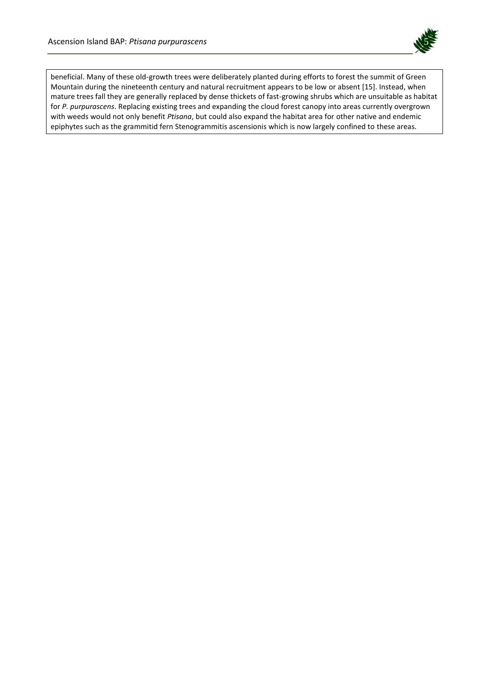

beneficial. Many of these old-growth trees were deliberately planted during efforts to forest the summit of Green Mountain during the nineteenth century and natural recruitment appears to be low or absent [15]. Instead, when mature trees fall they are generally replaced by dense thickets of fast-growing shrubs which are unsuitable as habitat for *P. purpurascens*. Replacing existing trees and expanding the cloud forest canopy into areas currently overgrown with weeds would not only benefit *Ptisana*, but could also expand the habitat area for other native and endemic epiphytes such as the grammitid fern Stenogrammitis ascensionis which is now largely confined to these areas.